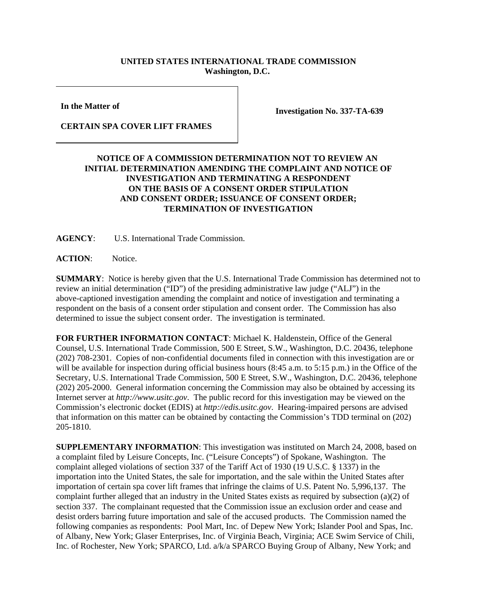## **UNITED STATES INTERNATIONAL TRADE COMMISSION Washington, D.C.**

**In the Matter of** 

**Investigation No. 337-TA-639**

## **CERTAIN SPA COVER LIFT FRAMES**

## **NOTICE OF A COMMISSION DETERMINATION NOT TO REVIEW AN INITIAL DETERMINATION AMENDING THE COMPLAINT AND NOTICE OF INVESTIGATION AND TERMINATING A RESPONDENT ON THE BASIS OF A CONSENT ORDER STIPULATION AND CONSENT ORDER; ISSUANCE OF CONSENT ORDER; TERMINATION OF INVESTIGATION**

**AGENCY**: U.S. International Trade Commission.

**ACTION**: Notice.

**SUMMARY**: Notice is hereby given that the U.S. International Trade Commission has determined not to review an initial determination ("ID") of the presiding administrative law judge ("ALJ") in the above-captioned investigation amending the complaint and notice of investigation and terminating a respondent on the basis of a consent order stipulation and consent order. The Commission has also determined to issue the subject consent order. The investigation is terminated.

**FOR FURTHER INFORMATION CONTACT**: Michael K. Haldenstein, Office of the General Counsel, U.S. International Trade Commission, 500 E Street, S.W., Washington, D.C. 20436, telephone (202) 708-2301. Copies of non-confidential documents filed in connection with this investigation are or will be available for inspection during official business hours (8:45 a.m. to 5:15 p.m.) in the Office of the Secretary, U.S. International Trade Commission, 500 E Street, S.W., Washington, D.C. 20436, telephone (202) 205-2000. General information concerning the Commission may also be obtained by accessing its Internet server at *http://www.usitc.gov*. The public record for this investigation may be viewed on the Commission's electronic docket (EDIS) at *http://edis.usitc.gov*. Hearing-impaired persons are advised that information on this matter can be obtained by contacting the Commission's TDD terminal on (202) 205-1810.

**SUPPLEMENTARY INFORMATION**: This investigation was instituted on March 24, 2008, based on a complaint filed by Leisure Concepts, Inc. ("Leisure Concepts") of Spokane, Washington. The complaint alleged violations of section 337 of the Tariff Act of 1930 (19 U.S.C. § 1337) in the importation into the United States, the sale for importation, and the sale within the United States after importation of certain spa cover lift frames that infringe the claims of U.S. Patent No. 5,996,137. The complaint further alleged that an industry in the United States exists as required by subsection (a)(2) of section 337. The complainant requested that the Commission issue an exclusion order and cease and desist orders barring future importation and sale of the accused products. The Commission named the following companies as respondents: Pool Mart, Inc. of Depew New York; Islander Pool and Spas, Inc. of Albany, New York; Glaser Enterprises, Inc. of Virginia Beach, Virginia; ACE Swim Service of Chili, Inc. of Rochester, New York; SPARCO, Ltd. a/k/a SPARCO Buying Group of Albany, New York; and